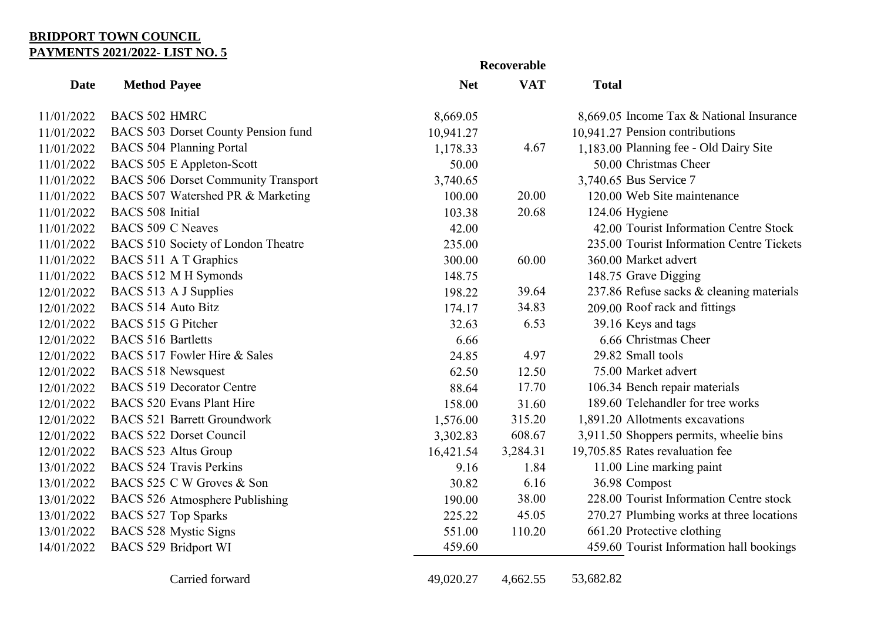## **BRIDPORT TOWN COUNCIL PAYMENTS 2021/2022- LIST NO. 5**

|             | Recoverable                                |            |            |                                           |
|-------------|--------------------------------------------|------------|------------|-------------------------------------------|
| <b>Date</b> | <b>Method Payee</b>                        | <b>Net</b> | <b>VAT</b> | <b>Total</b>                              |
| 11/01/2022  | <b>BACS 502 HMRC</b>                       | 8,669.05   |            | 8,669.05 Income Tax & National Insurance  |
| 11/01/2022  | BACS 503 Dorset County Pension fund        | 10,941.27  |            | 10,941.27 Pension contributions           |
| 11/01/2022  | <b>BACS 504 Planning Portal</b>            | 1,178.33   | 4.67       | 1,183.00 Planning fee - Old Dairy Site    |
| 11/01/2022  | BACS 505 E Appleton-Scott                  | 50.00      |            | 50.00 Christmas Cheer                     |
| 11/01/2022  | <b>BACS 506 Dorset Community Transport</b> | 3,740.65   |            | 3,740.65 Bus Service 7                    |
| 11/01/2022  | BACS 507 Watershed PR & Marketing          | 100.00     | 20.00      | 120.00 Web Site maintenance               |
| 11/01/2022  | <b>BACS</b> 508 Initial                    | 103.38     | 20.68      | 124.06 Hygiene                            |
| 11/01/2022  | BACS 509 C Neaves                          | 42.00      |            | 42.00 Tourist Information Centre Stock    |
| 11/01/2022  | BACS 510 Society of London Theatre         | 235.00     |            | 235.00 Tourist Information Centre Tickets |
| 11/01/2022  | BACS 511 A T Graphics                      | 300.00     | 60.00      | 360.00 Market advert                      |
| 11/01/2022  | BACS 512 M H Symonds                       | 148.75     |            | 148.75 Grave Digging                      |
| 12/01/2022  | BACS 513 A J Supplies                      | 198.22     | 39.64      | 237.86 Refuse sacks & cleaning materials  |
| 12/01/2022  | <b>BACS 514 Auto Bitz</b>                  | 174.17     | 34.83      | 209.00 Roof rack and fittings             |
| 12/01/2022  | BACS 515 G Pitcher                         | 32.63      | 6.53       | 39.16 Keys and tags                       |
| 12/01/2022  | <b>BACS 516 Bartletts</b>                  | 6.66       |            | 6.66 Christmas Cheer                      |
| 12/01/2022  | BACS 517 Fowler Hire & Sales               | 24.85      | 4.97       | 29.82 Small tools                         |
| 12/01/2022  | <b>BACS 518 Newsquest</b>                  | 62.50      | 12.50      | 75.00 Market advert                       |
| 12/01/2022  | <b>BACS 519 Decorator Centre</b>           | 88.64      | 17.70      | 106.34 Bench repair materials             |
| 12/01/2022  | <b>BACS 520 Evans Plant Hire</b>           | 158.00     | 31.60      | 189.60 Telehandler for tree works         |
| 12/01/2022  | <b>BACS 521 Barrett Groundwork</b>         | 1,576.00   | 315.20     | 1,891.20 Allotments excavations           |
| 12/01/2022  | <b>BACS 522 Dorset Council</b>             | 3,302.83   | 608.67     | 3,911.50 Shoppers permits, wheelie bins   |
| 12/01/2022  | <b>BACS 523 Altus Group</b>                | 16,421.54  | 3,284.31   | 19,705.85 Rates revaluation fee           |
| 13/01/2022  | <b>BACS</b> 524 Travis Perkins             | 9.16       | 1.84       | 11.00 Line marking paint                  |
| 13/01/2022  | BACS 525 C W Groves & Son                  | 30.82      | 6.16       | 36.98 Compost                             |
| 13/01/2022  | BACS 526 Atmosphere Publishing             | 190.00     | 38.00      | 228.00 Tourist Information Centre stock   |
| 13/01/2022  | <b>BACS 527 Top Sparks</b>                 | 225.22     | 45.05      | 270.27 Plumbing works at three locations  |
| 13/01/2022  | BACS 528 Mystic Signs                      | 551.00     | 110.20     | 661.20 Protective clothing                |
| 14/01/2022  | BACS 529 Bridport WI                       | 459.60     |            | 459.60 Tourist Information hall bookings  |
|             | Carried forward                            | 49,020.27  | 4,662.55   | 53,682.82                                 |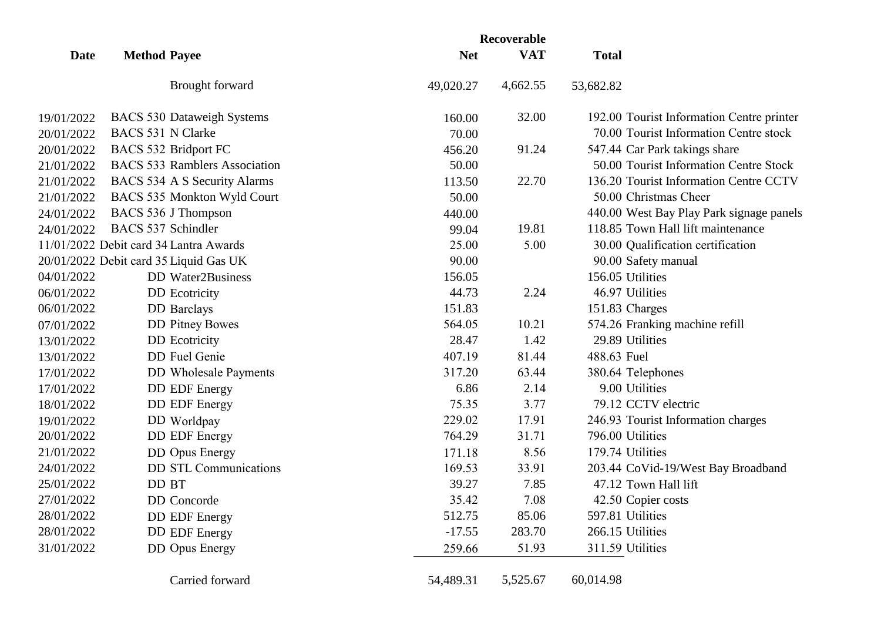|            |                                        |            | Recoverable |                                           |
|------------|----------------------------------------|------------|-------------|-------------------------------------------|
| Date       | <b>Method Payee</b>                    | <b>Net</b> | <b>VAT</b>  | <b>Total</b>                              |
|            | Brought forward                        | 49,020.27  | 4,662.55    | 53,682.82                                 |
| 19/01/2022 | <b>BACS 530 Dataweigh Systems</b>      | 160.00     | 32.00       | 192.00 Tourist Information Centre printer |
| 20/01/2022 | <b>BACS 531 N Clarke</b>               | 70.00      |             | 70.00 Tourist Information Centre stock    |
| 20/01/2022 | <b>BACS 532 Bridport FC</b>            | 456.20     | 91.24       | 547.44 Car Park takings share             |
| 21/01/2022 | <b>BACS 533 Ramblers Association</b>   | 50.00      |             | 50.00 Tourist Information Centre Stock    |
| 21/01/2022 | BACS 534 A S Security Alarms           | 113.50     | 22.70       | 136.20 Tourist Information Centre CCTV    |
| 21/01/2022 | BACS 535 Monkton Wyld Court            | 50.00      |             | 50.00 Christmas Cheer                     |
| 24/01/2022 | BACS 536 J Thompson                    | 440.00     |             | 440.00 West Bay Play Park signage panels  |
| 24/01/2022 | <b>BACS 537 Schindler</b>              | 99.04      | 19.81       | 118.85 Town Hall lift maintenance         |
|            | 11/01/2022 Debit card 34 Lantra Awards | 25.00      | 5.00        | 30.00 Qualification certification         |
|            | 20/01/2022 Debit card 35 Liquid Gas UK | 90.00      |             | 90.00 Safety manual                       |
| 04/01/2022 | <b>DD</b> Water2Business               | 156.05     |             | 156.05 Utilities                          |
| 06/01/2022 | <b>DD</b> Ecotricity                   | 44.73      | 2.24        | 46.97 Utilities                           |
| 06/01/2022 | <b>DD</b> Barclays                     | 151.83     |             | 151.83 Charges                            |
| 07/01/2022 | <b>DD</b> Pitney Bowes                 | 564.05     | 10.21       | 574.26 Franking machine refill            |
| 13/01/2022 | <b>DD</b> Ecotricity                   | 28.47      | 1.42        | 29.89 Utilities                           |
| 13/01/2022 | DD Fuel Genie                          | 407.19     | 81.44       | 488.63 Fuel                               |
| 17/01/2022 | <b>DD</b> Wholesale Payments           | 317.20     | 63.44       | 380.64 Telephones                         |
| 17/01/2022 | <b>DD EDF Energy</b>                   | 6.86       | 2.14        | 9.00 Utilities                            |
| 18/01/2022 | <b>DD EDF Energy</b>                   | 75.35      | 3.77        | 79.12 CCTV electric                       |
| 19/01/2022 | DD Worldpay                            | 229.02     | 17.91       | 246.93 Tourist Information charges        |
| 20/01/2022 | <b>DD EDF Energy</b>                   | 764.29     | 31.71       | 796.00 Utilities                          |
| 21/01/2022 | <b>DD</b> Opus Energy                  | 171.18     | 8.56        | 179.74 Utilities                          |
| 24/01/2022 | <b>DD STL Communications</b>           | 169.53     | 33.91       | 203.44 CoVid-19/West Bay Broadband        |
| 25/01/2022 | DD BT                                  | 39.27      | 7.85        | 47.12 Town Hall lift                      |
| 27/01/2022 | DD Concorde                            | 35.42      | 7.08        | 42.50 Copier costs                        |
| 28/01/2022 | <b>DD EDF Energy</b>                   | 512.75     | 85.06       | 597.81 Utilities                          |
| 28/01/2022 | <b>DD</b> EDF Energy                   | $-17.55$   | 283.70      | 266.15 Utilities                          |
| 31/01/2022 | <b>DD</b> Opus Energy                  | 259.66     | 51.93       | 311.59 Utilities                          |
|            | Carried forward                        | 54,489.31  | 5,525.67    | 60,014.98                                 |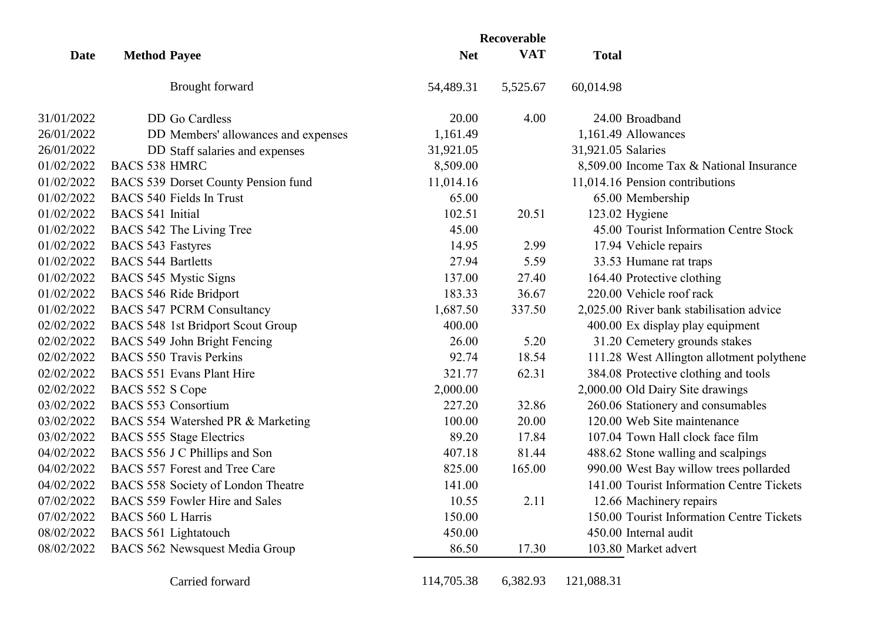| Date       | <b>Method Payee</b>       |                                     | Recoverable |            |                                           |
|------------|---------------------------|-------------------------------------|-------------|------------|-------------------------------------------|
|            |                           |                                     | <b>Net</b>  | <b>VAT</b> | <b>Total</b>                              |
|            |                           | <b>Brought</b> forward              | 54,489.31   | 5,525.67   | 60,014.98                                 |
| 31/01/2022 |                           | DD Go Cardless                      | 20.00       | 4.00       | 24.00 Broadband                           |
| 26/01/2022 |                           | DD Members' allowances and expenses | 1,161.49    |            | 1,161.49 Allowances                       |
| 26/01/2022 |                           | DD Staff salaries and expenses      | 31,921.05   |            | 31,921.05 Salaries                        |
| 01/02/2022 | <b>BACS 538 HMRC</b>      |                                     | 8,509.00    |            | 8,509.00 Income Tax & National Insurance  |
| 01/02/2022 |                           | BACS 539 Dorset County Pension fund | 11,014.16   |            | 11,014.16 Pension contributions           |
| 01/02/2022 |                           | <b>BACS 540 Fields In Trust</b>     | 65.00       |            | 65.00 Membership                          |
| 01/02/2022 | <b>BACS</b> 541 Initial   |                                     | 102.51      | 20.51      | 123.02 Hygiene                            |
| 01/02/2022 |                           | BACS 542 The Living Tree            | 45.00       |            | 45.00 Tourist Information Centre Stock    |
| 01/02/2022 | <b>BACS 543 Fastyres</b>  |                                     | 14.95       | 2.99       | 17.94 Vehicle repairs                     |
| 01/02/2022 | <b>BACS 544 Bartletts</b> |                                     | 27.94       | 5.59       | 33.53 Humane rat traps                    |
| 01/02/2022 |                           | BACS 545 Mystic Signs               | 137.00      | 27.40      | 164.40 Protective clothing                |
| 01/02/2022 |                           | BACS 546 Ride Bridport              | 183.33      | 36.67      | 220.00 Vehicle roof rack                  |
| 01/02/2022 |                           | <b>BACS 547 PCRM Consultancy</b>    | 1,687.50    | 337.50     | 2,025.00 River bank stabilisation advice  |
| 02/02/2022 |                           | BACS 548 1st Bridport Scout Group   | 400.00      |            | 400.00 Ex display play equipment          |
| 02/02/2022 |                           | BACS 549 John Bright Fencing        | 26.00       | 5.20       | 31.20 Cemetery grounds stakes             |
| 02/02/2022 |                           | <b>BACS 550 Travis Perkins</b>      | 92.74       | 18.54      | 111.28 West Allington allotment polythene |
| 02/02/2022 |                           | <b>BACS 551 Evans Plant Hire</b>    | 321.77      | 62.31      | 384.08 Protective clothing and tools      |
| 02/02/2022 | BACS 552 S Cope           |                                     | 2,000.00    |            | 2,000.00 Old Dairy Site drawings          |
| 03/02/2022 |                           | <b>BACS 553 Consortium</b>          | 227.20      | 32.86      | 260.06 Stationery and consumables         |
| 03/02/2022 |                           | BACS 554 Watershed PR & Marketing   | 100.00      | 20.00      | 120.00 Web Site maintenance               |
| 03/02/2022 |                           | <b>BACS 555 Stage Electrics</b>     | 89.20       | 17.84      | 107.04 Town Hall clock face film          |
| 04/02/2022 |                           | BACS 556 J C Phillips and Son       | 407.18      | 81.44      | 488.62 Stone walling and scalpings        |
| 04/02/2022 |                           | BACS 557 Forest and Tree Care       | 825.00      | 165.00     | 990.00 West Bay willow trees pollarded    |
| 04/02/2022 |                           | BACS 558 Society of London Theatre  | 141.00      |            | 141.00 Tourist Information Centre Tickets |
| 07/02/2022 |                           | BACS 559 Fowler Hire and Sales      | 10.55       | 2.11       | 12.66 Machinery repairs                   |
| 07/02/2022 | <b>BACS 560 L Harris</b>  |                                     | 150.00      |            | 150.00 Tourist Information Centre Tickets |
| 08/02/2022 |                           | BACS 561 Lightatouch                | 450.00      |            | 450.00 Internal audit                     |
| 08/02/2022 |                           | BACS 562 Newsquest Media Group      | 86.50       | 17.30      | 103.80 Market advert                      |
|            |                           | Carried forward                     | 114,705.38  | 6,382.93   | 121,088.31                                |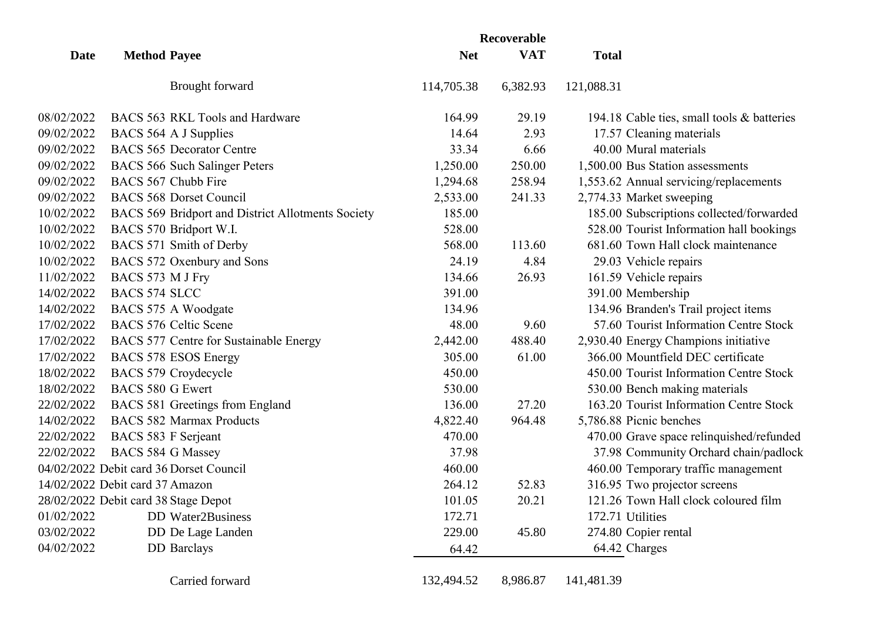|             |                                 |                                                   | Recoverable |            |                                            |
|-------------|---------------------------------|---------------------------------------------------|-------------|------------|--------------------------------------------|
| <b>Date</b> | <b>Method Payee</b>             |                                                   | <b>Net</b>  | <b>VAT</b> | <b>Total</b>                               |
|             |                                 | Brought forward                                   | 114,705.38  | 6,382.93   | 121,088.31                                 |
| 08/02/2022  |                                 | BACS 563 RKL Tools and Hardware                   | 164.99      | 29.19      | 194.18 Cable ties, small tools & batteries |
| 09/02/2022  |                                 | BACS 564 A J Supplies                             | 14.64       | 2.93       | 17.57 Cleaning materials                   |
| 09/02/2022  |                                 | <b>BACS 565 Decorator Centre</b>                  | 33.34       | 6.66       | 40.00 Mural materials                      |
| 09/02/2022  |                                 | BACS 566 Such Salinger Peters                     | 1,250.00    | 250.00     | 1,500.00 Bus Station assessments           |
| 09/02/2022  |                                 | BACS 567 Chubb Fire                               | 1,294.68    | 258.94     | 1,553.62 Annual servicing/replacements     |
| 09/02/2022  |                                 | <b>BACS 568 Dorset Council</b>                    | 2,533.00    | 241.33     | 2,774.33 Market sweeping                   |
| 10/02/2022  |                                 | BACS 569 Bridport and District Allotments Society | 185.00      |            | 185.00 Subscriptions collected/forwarded   |
| 10/02/2022  |                                 | BACS 570 Bridport W.I.                            | 528.00      |            | 528.00 Tourist Information hall bookings   |
| 10/02/2022  |                                 | BACS 571 Smith of Derby                           | 568.00      | 113.60     | 681.60 Town Hall clock maintenance         |
| 10/02/2022  |                                 | BACS 572 Oxenbury and Sons                        | 24.19       | 4.84       | 29.03 Vehicle repairs                      |
| 11/02/2022  | BACS 573 M J Fry                |                                                   | 134.66      | 26.93      | 161.59 Vehicle repairs                     |
| 14/02/2022  | <b>BACS 574 SLCC</b>            |                                                   | 391.00      |            | 391.00 Membership                          |
| 14/02/2022  |                                 | BACS 575 A Woodgate                               | 134.96      |            | 134.96 Branden's Trail project items       |
| 17/02/2022  |                                 | <b>BACS 576 Celtic Scene</b>                      | 48.00       | 9.60       | 57.60 Tourist Information Centre Stock     |
| 17/02/2022  |                                 | BACS 577 Centre for Sustainable Energy            | 2,442.00    | 488.40     | 2,930.40 Energy Champions initiative       |
| 17/02/2022  |                                 | BACS 578 ESOS Energy                              | 305.00      | 61.00      | 366.00 Mountfield DEC certificate          |
| 18/02/2022  |                                 | BACS 579 Croydecycle                              | 450.00      |            | 450.00 Tourist Information Centre Stock    |
| 18/02/2022  | <b>BACS 580 G Ewert</b>         |                                                   | 530.00      |            | 530.00 Bench making materials              |
| 22/02/2022  |                                 | BACS 581 Greetings from England                   | 136.00      | 27.20      | 163.20 Tourist Information Centre Stock    |
| 14/02/2022  |                                 | <b>BACS 582 Marmax Products</b>                   | 4,822.40    | 964.48     | 5,786.88 Picnic benches                    |
| 22/02/2022  | BACS 583 F Serjeant             |                                                   | 470.00      |            | 470.00 Grave space relinquished/refunded   |
| 22/02/2022  | <b>BACS 584 G Massey</b>        |                                                   | 37.98       |            | 37.98 Community Orchard chain/padlock      |
|             |                                 | 04/02/2022 Debit card 36 Dorset Council           | 460.00      |            | 460.00 Temporary traffic management        |
|             | 14/02/2022 Debit card 37 Amazon |                                                   | 264.12      | 52.83      | 316.95 Two projector screens               |
|             |                                 | 28/02/2022 Debit card 38 Stage Depot              | 101.05      | 20.21      | 121.26 Town Hall clock coloured film       |
| 01/02/2022  |                                 | DD Water2Business                                 | 172.71      |            | 172.71 Utilities                           |
| 03/02/2022  |                                 | DD De Lage Landen                                 | 229.00      | 45.80      | 274.80 Copier rental                       |
| 04/02/2022  |                                 | <b>DD</b> Barclays                                | 64.42       |            | 64.42 Charges                              |
|             |                                 | Carried forward                                   | 132,494.52  | 8,986.87   | 141,481.39                                 |